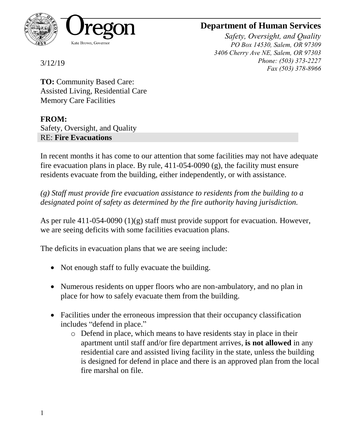

## **Department of Human Services**

*Safety, Oversight, and Quality PO Box 14530, Salem, OR 97309 3406 Cherry Ave NE, Salem, OR 97303 Phone: (503) 373-2227 Fax (503) 378-8966*

3/12/19

**TO:** Community Based Care: Assisted Living, Residential Care Memory Care Facilities

## **FROM:**

Safety, Oversight, and Quality RE: **Fire Evacuations**

In recent months it has come to our attention that some facilities may not have adequate fire evacuation plans in place. By rule, 411-054-0090 (g), the facility must ensure residents evacuate from the building, either independently, or with assistance.

*(g) Staff must provide fire evacuation assistance to residents from the building to a designated point of safety as determined by the fire authority having jurisdiction.*

As per rule 411-054-0090 (1)(g) staff must provide support for evacuation. However, we are seeing deficits with some facilities evacuation plans.

The deficits in evacuation plans that we are seeing include:

- Not enough staff to fully evacuate the building.
- Numerous residents on upper floors who are non-ambulatory, and no plan in place for how to safely evacuate them from the building.
- Facilities under the erroneous impression that their occupancy classification includes "defend in place."
	- o Defend in place, which means to have residents stay in place in their apartment until staff and/or fire department arrives, **is not allowed** in any residential care and assisted living facility in the state, unless the building is designed for defend in place and there is an approved plan from the local fire marshal on file.